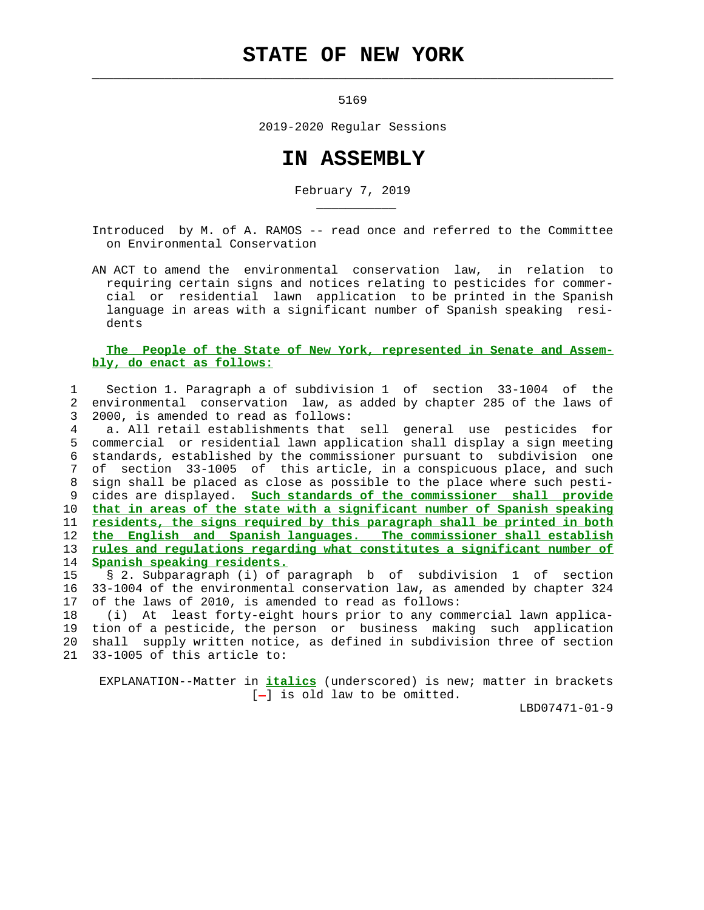## **STATE OF NEW YORK**

 $\mathcal{L}_\text{max} = \frac{1}{2} \sum_{i=1}^{n} \frac{1}{2} \sum_{i=1}^{n} \frac{1}{2} \sum_{i=1}^{n} \frac{1}{2} \sum_{i=1}^{n} \frac{1}{2} \sum_{i=1}^{n} \frac{1}{2} \sum_{i=1}^{n} \frac{1}{2} \sum_{i=1}^{n} \frac{1}{2} \sum_{i=1}^{n} \frac{1}{2} \sum_{i=1}^{n} \frac{1}{2} \sum_{i=1}^{n} \frac{1}{2} \sum_{i=1}^{n} \frac{1}{2} \sum_{i=1}^{n} \frac{1$ 

\_\_\_\_\_\_\_\_\_\_\_

5169

2019-2020 Regular Sessions

## **IN ASSEMBLY**

February 7, 2019

 Introduced by M. of A. RAMOS -- read once and referred to the Committee on Environmental Conservation

 AN ACT to amend the environmental conservation law, in relation to requiring certain signs and notices relating to pesticides for commer cial or residential lawn application to be printed in the Spanish language in areas with a significant number of Spanish speaking resi dents

## **The People of the State of New York, represented in Senate and Assem bly, do enact as follows:**

 1 Section 1. Paragraph a of subdivision 1 of section 33-1004 of the 2 environmental conservation law, as added by chapter 285 of the laws of 3 2000, is amended to read as follows:

 4 a. All retail establishments that sell general use pesticides for 5 commercial or residential lawn application shall display a sign meeting 6 standards, established by the commissioner pursuant to subdivision one 7 of section 33-1005 of this article, in a conspicuous place, and such 8 sign shall be placed as close as possible to the place where such pesti- 9 cides are displayed. **Such standards of the commissioner shall provide** 10 **that in areas of the state with a significant number of Spanish speaking** 11 **residents, the signs required by this paragraph shall be printed in both** 12 **the English and Spanish languages. The commissioner shall establish** 13 **rules and regulations regarding what constitutes a significant number of** 14 **Spanish speaking residents.**

 15 § 2. Subparagraph (i) of paragraph b of subdivision 1 of section 16 33-1004 of the environmental conservation law, as amended by chapter 324 17 of the laws of 2010, is amended to read as follows:

 18 (i) At least forty-eight hours prior to any commercial lawn applica- 19 tion of a pesticide, the person or business making such application 20 shall supply written notice, as defined in subdivision three of section 21 33-1005 of this article to:

 EXPLANATION--Matter in **italics** (underscored) is new; matter in brackets  $[-]$  is old law to be omitted.

LBD07471-01-9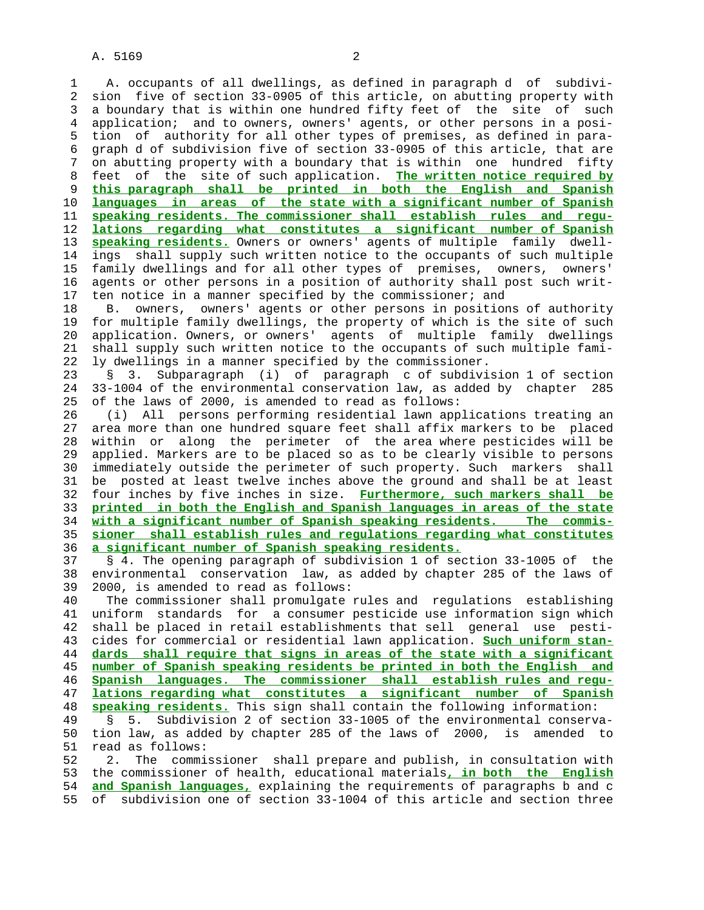A. 5169 2

 1 A. occupants of all dwellings, as defined in paragraph d of subdivi- 2 sion five of section 33-0905 of this article, on abutting property with 3 a boundary that is within one hundred fifty feet of the site of such 4 application; and to owners, owners' agents, or other persons in a posi- 5 tion of authority for all other types of premises, as defined in para- 6 graph d of subdivision five of section 33-0905 of this article, that are 7 on abutting property with a boundary that is within one hundred fifty 8 feet of the site of such application. **The written notice required by** 9 **this paragraph shall be printed in both the English and Spanish** 10 **languages in areas of the state with a significant number of Spanish** 11 **speaking residents. The commissioner shall establish rules and regu-** 12 **lations regarding what constitutes a significant number of Spanish** 13 **speaking residents.** Owners or owners' agents of multiple family dwell- 14 ings shall supply such written notice to the occupants of such multiple 15 family dwellings and for all other types of premises, owners, owners' 16 agents or other persons in a position of authority shall post such writ- 17 ten notice in a manner specified by the commissioner; and 18 B. owners, owners' agents or other persons in positions of authority 19 for multiple family dwellings, the property of which is the site of such 20 application. Owners, or owners' agents of multiple family dwellings 21 shall supply such written notice to the occupants of such multiple fami- 22 ly dwellings in a manner specified by the commissioner. 23 § 3. Subparagraph (i) of paragraph c of subdivision 1 of section 24 33-1004 of the environmental conservation law, as added by chapter 285 25 of the laws of 2000, is amended to read as follows: 26 (i) All persons performing residential lawn applications treating an 27 area more than one hundred square feet shall affix markers to be placed 28 within or along the perimeter of the area where pesticides will be 29 applied. Markers are to be placed so as to be clearly visible to persons 30 immediately outside the perimeter of such property. Such markers shall 31 be posted at least twelve inches above the ground and shall be at least 32 four inches by five inches in size. **Furthermore, such markers shall be** 33 **printed in both the English and Spanish languages in areas of the state** 34 **with a significant number of Spanish speaking residents. The commis-** 35 **sioner shall establish rules and regulations regarding what constitutes** 36 **a significant number of Spanish speaking residents.** 37 § 4. The opening paragraph of subdivision 1 of section 33-1005 of the 38 environmental conservation law, as added by chapter 285 of the laws of 39 2000, is amended to read as follows: 40 The commissioner shall promulgate rules and regulations establishing 41 uniform standards for a consumer pesticide use information sign which 42 shall be placed in retail establishments that sell general use pesti- 43 cides for commercial or residential lawn application. **Such uniform stan-** 44 **dards shall require that signs in areas of the state with a significant** 45 **number of Spanish speaking residents be printed in both the English and** 46 **Spanish languages. The commissioner shall establish rules and regu-** 47 **lations regarding what constitutes a significant number of Spanish** 48 **speaking residents.** This sign shall contain the following information: 49 § 5. Subdivision 2 of section 33-1005 of the environmental conserva- 50 tion law, as added by chapter 285 of the laws of 2000, is amended to 51 read as follows: 52 2. The commissioner shall prepare and publish, in consultation with 53 the commissioner of health, educational materials**, in both the English** 54 **and Spanish languages,** explaining the requirements of paragraphs b and c 55 of subdivision one of section 33-1004 of this article and section three